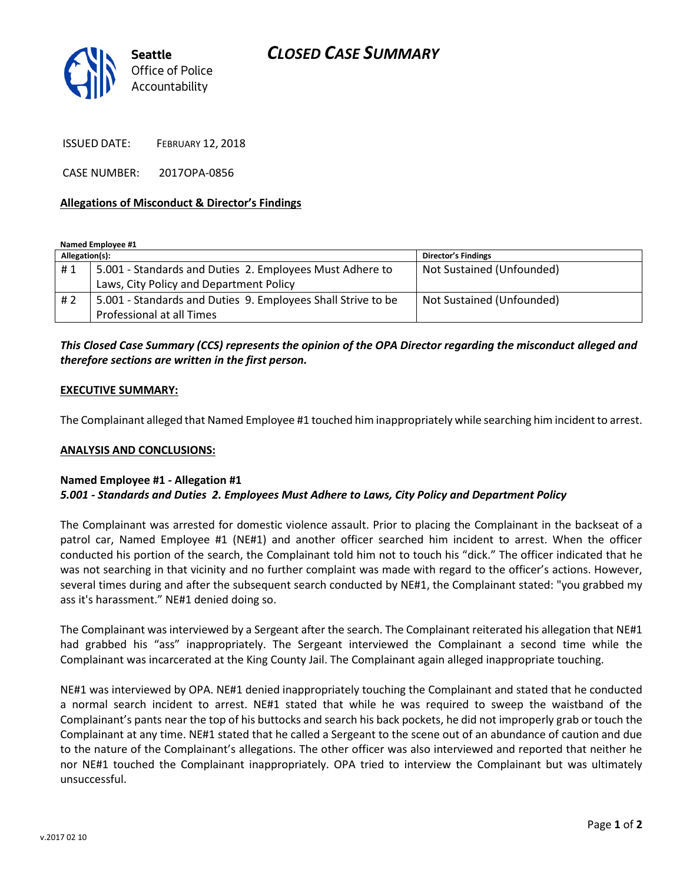

ISSUED DATE: FEBRUARY 12, 2018

CASE NUMBER: 2017OPA-0856

### **Allegations of Misconduct & Director's Findings**

**Named Employee #1**

| Allegation(s): |                                                              | <b>Director's Findings</b> |
|----------------|--------------------------------------------------------------|----------------------------|
| #1             | 5.001 - Standards and Duties 2. Employees Must Adhere to     | Not Sustained (Unfounded)  |
|                | Laws, City Policy and Department Policy                      |                            |
| #2             | 5.001 - Standards and Duties 9. Employees Shall Strive to be | Not Sustained (Unfounded)  |
|                | Professional at all Times                                    |                            |

# *This Closed Case Summary (CCS) represents the opinion of the OPA Director regarding the misconduct alleged and therefore sections are written in the first person.*

### **EXECUTIVE SUMMARY:**

The Complainant alleged that Named Employee #1 touched him inappropriately while searching him incident to arrest.

#### **ANALYSIS AND CONCLUSIONS:**

## **Named Employee #1 - Allegation #1**

## *5.001 - Standards and Duties 2. Employees Must Adhere to Laws, City Policy and Department Policy*

The Complainant was arrested for domestic violence assault. Prior to placing the Complainant in the backseat of a patrol car, Named Employee #1 (NE#1) and another officer searched him incident to arrest. When the officer conducted his portion of the search, the Complainant told him not to touch his "dick." The officer indicated that he was not searching in that vicinity and no further complaint was made with regard to the officer's actions. However, several times during and after the subsequent search conducted by NE#1, the Complainant stated: "you grabbed my ass it's harassment." NE#1 denied doing so.

The Complainant was interviewed by a Sergeant after the search. The Complainant reiterated his allegation that NE#1 had grabbed his "ass" inappropriately. The Sergeant interviewed the Complainant a second time while the Complainant was incarcerated at the King County Jail. The Complainant again alleged inappropriate touching.

NE#1 was interviewed by OPA. NE#1 denied inappropriately touching the Complainant and stated that he conducted a normal search incident to arrest. NE#1 stated that while he was required to sweep the waistband of the Complainant's pants near the top of his buttocks and search his back pockets, he did not improperly grab or touch the Complainant at any time. NE#1 stated that he called a Sergeant to the scene out of an abundance of caution and due to the nature of the Complainant's allegations. The other officer was also interviewed and reported that neither he nor NE#1 touched the Complainant inappropriately. OPA tried to interview the Complainant but was ultimately unsuccessful.